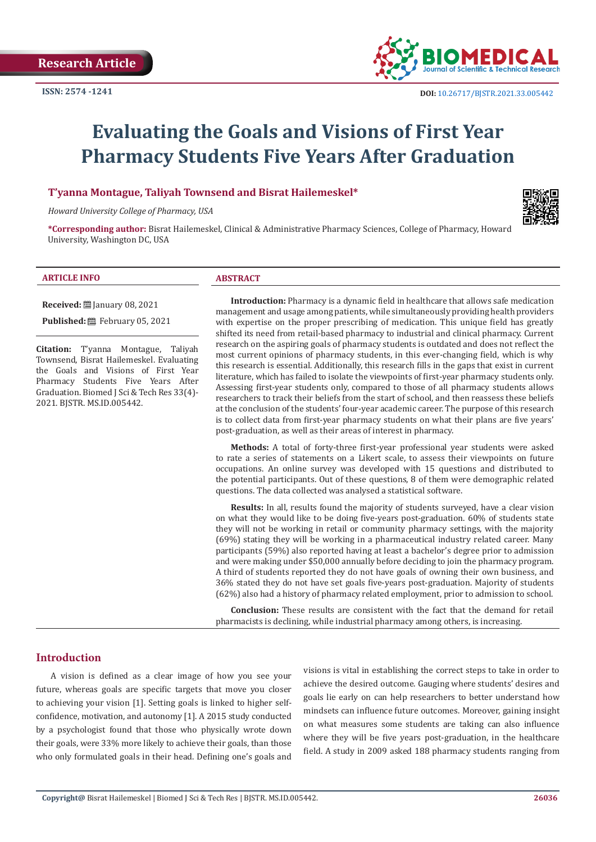

# **Evaluating the Goals and Visions of First Year Pharmacy Students Five Years After Graduation**

**T'yanna Montague, Taliyah Townsend and Bisrat Hailemeskel\***

*Howard University College of Pharmacy, USA*



**\*Corresponding author:** Bisrat Hailemeskel, Clinical & Administrative Pharmacy Sciences, College of Pharmacy, Howard University, Washington DC, USA

#### **ARTICLE INFO ABSTRACT**

**Received:** ■ January 08, 2021

**Published:** February 05, 2021

**Citation:** T'yanna Montague, Taliyah Townsend, Bisrat Hailemeskel. Evaluating the Goals and Visions of First Year Pharmacy Students Five Years After Graduation. Biomed J Sci & Tech Res 33(4)- 2021. BJSTR. MS.ID.005442.

**Introduction:** Pharmacy is a dynamic field in healthcare that allows safe medication management and usage among patients, while simultaneously providing health providers with expertise on the proper prescribing of medication. This unique field has greatly shifted its need from retail-based pharmacy to industrial and clinical pharmacy. Current research on the aspiring goals of pharmacy students is outdated and does not reflect the most current opinions of pharmacy students, in this ever-changing field, which is why this research is essential. Additionally, this research fills in the gaps that exist in current literature, which has failed to isolate the viewpoints of first-year pharmacy students only. Assessing first-year students only, compared to those of all pharmacy students allows researchers to track their beliefs from the start of school, and then reassess these beliefs at the conclusion of the students' four-year academic career. The purpose of this research is to collect data from first-year pharmacy students on what their plans are five years' post-graduation, as well as their areas of interest in pharmacy.

**Methods:** A total of forty-three first-year professional year students were asked to rate a series of statements on a Likert scale, to assess their viewpoints on future occupations. An online survey was developed with 15 questions and distributed to the potential participants. Out of these questions, 8 of them were demographic related questions. The data collected was analysed a statistical software.

**Results:** In all, results found the majority of students surveyed, have a clear vision on what they would like to be doing five-years post-graduation. 60% of students state they will not be working in retail or community pharmacy settings, with the majority (69%) stating they will be working in a pharmaceutical industry related career. Many participants (59%) also reported having at least a bachelor's degree prior to admission and were making under \$50,000 annually before deciding to join the pharmacy program. A third of students reported they do not have goals of owning their own business, and 36% stated they do not have set goals five-years post-graduation. Majority of students (62%) also had a history of pharmacy related employment, prior to admission to school.

**Conclusion:** These results are consistent with the fact that the demand for retail pharmacists is declining, while industrial pharmacy among others, is increasing.

### **Introduction**

A vision is defined as a clear image of how you see your future, whereas goals are specific targets that move you closer to achieving your vision [1]. Setting goals is linked to higher selfconfidence, motivation, and autonomy [1]. A 2015 study conducted by a psychologist found that those who physically wrote down their goals, were 33% more likely to achieve their goals, than those who only formulated goals in their head. Defining one's goals and

visions is vital in establishing the correct steps to take in order to achieve the desired outcome. Gauging where students' desires and goals lie early on can help researchers to better understand how mindsets can influence future outcomes. Moreover, gaining insight on what measures some students are taking can also influence where they will be five years post-graduation, in the healthcare field. A study in 2009 asked 188 pharmacy students ranging from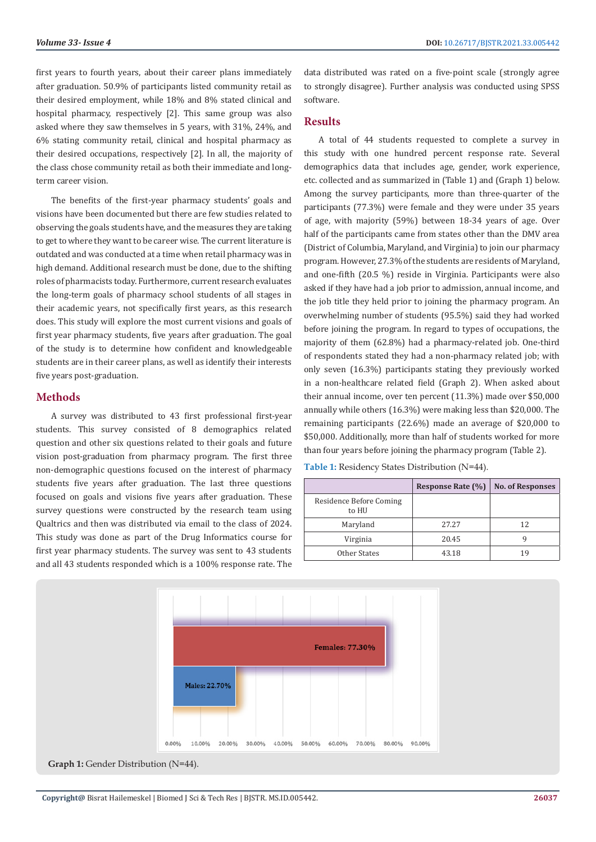first years to fourth years, about their career plans immediately after graduation. 50.9% of participants listed community retail as their desired employment, while 18% and 8% stated clinical and hospital pharmacy, respectively [2]. This same group was also asked where they saw themselves in 5 years, with 31%, 24%, and 6% stating community retail, clinical and hospital pharmacy as their desired occupations, respectively [2]. In all, the majority of the class chose community retail as both their immediate and longterm career vision.

The benefits of the first-year pharmacy students' goals and visions have been documented but there are few studies related to observing the goals students have, and the measures they are taking to get to where they want to be career wise. The current literature is outdated and was conducted at a time when retail pharmacy was in high demand. Additional research must be done, due to the shifting roles of pharmacists today. Furthermore, current research evaluates the long-term goals of pharmacy school students of all stages in their academic years, not specifically first years, as this research does. This study will explore the most current visions and goals of first year pharmacy students, five years after graduation. The goal of the study is to determine how confident and knowledgeable students are in their career plans, as well as identify their interests five years post-graduation.

#### **Methods**

A survey was distributed to 43 first professional first-year students. This survey consisted of 8 demographics related question and other six questions related to their goals and future vision post-graduation from pharmacy program. The first three non-demographic questions focused on the interest of pharmacy students five years after graduation. The last three questions focused on goals and visions five years after graduation. These survey questions were constructed by the research team using Qualtrics and then was distributed via email to the class of 2024. This study was done as part of the Drug Informatics course for first year pharmacy students. The survey was sent to 43 students and all 43 students responded which is a 100% response rate. The

data distributed was rated on a five-point scale (strongly agree to strongly disagree). Further analysis was conducted using SPSS software.

#### **Results**

A total of 44 students requested to complete a survey in this study with one hundred percent response rate. Several demographics data that includes age, gender, work experience, etc. collected and as summarized in (Table 1) and (Graph 1) below. Among the survey participants, more than three-quarter of the participants (77.3%) were female and they were under 35 years of age, with majority (59%) between 18-34 years of age. Over half of the participants came from states other than the DMV area (District of Columbia, Maryland, and Virginia) to join our pharmacy program. However, 27.3% of the students are residents of Maryland, and one-fifth (20.5 %) reside in Virginia. Participants were also asked if they have had a job prior to admission, annual income, and the job title they held prior to joining the pharmacy program. An overwhelming number of students (95.5%) said they had worked before joining the program. In regard to types of occupations, the majority of them (62.8%) had a pharmacy-related job. One-third of respondents stated they had a non-pharmacy related job; with only seven (16.3%) participants stating they previously worked in a non-healthcare related field (Graph 2). When asked about their annual income, over ten percent (11.3%) made over \$50,000 annually while others (16.3%) were making less than \$20,000. The remaining participants (22.6%) made an average of \$20,000 to \$50,000. Additionally, more than half of students worked for more than four years before joining the pharmacy program (Table 2).

**Table 1:** Residency States Distribution (N=44).

|                                  | <b>Response Rate (%)</b> | <b>No. of Responses</b> |
|----------------------------------|--------------------------|-------------------------|
| Residence Before Coming<br>to HU |                          |                         |
| Maryland                         | 27.27                    | 12                      |
| Virginia                         | 20.45                    |                         |
| Other States                     | 43.18                    | 19                      |



Graph 1: Gender Distribution (N=44).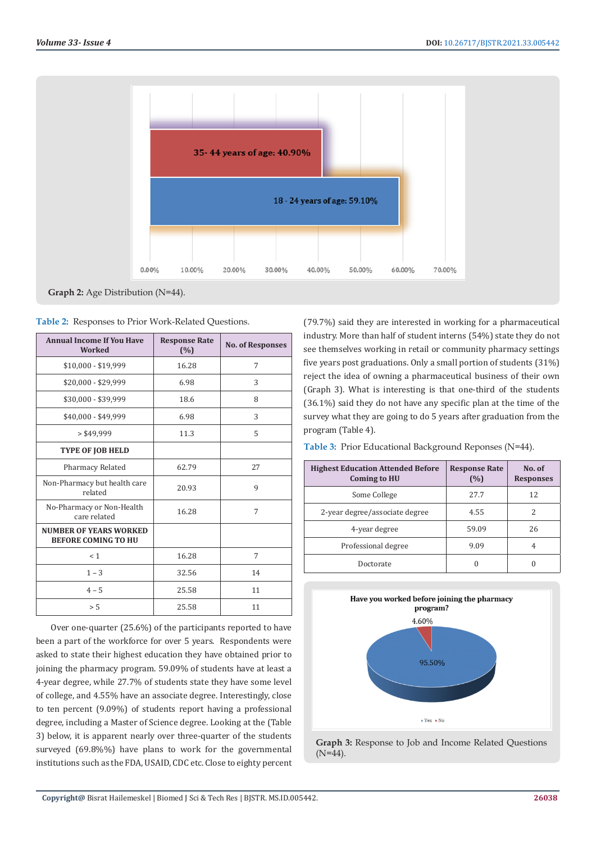

**Graph 2:** Age Distribution (N=44).

|  |  |  | Table 2: Responses to Prior Work-Related Questions. |  |
|--|--|--|-----------------------------------------------------|--|
|--|--|--|-----------------------------------------------------|--|

| <b>Annual Income If You Have</b><br><b>Worked</b>           | <b>Response Rate</b><br>(%) | <b>No. of Responses</b> |
|-------------------------------------------------------------|-----------------------------|-------------------------|
| \$10,000 - \$19,999                                         | 16.28                       | 7                       |
| \$20,000 - \$29,999                                         | 6.98                        | 3                       |
| \$30,000 - \$39,999                                         | 18.6                        | 8                       |
| \$40,000 - \$49,999                                         | 6.98                        | 3                       |
| > \$49,999                                                  | 11.3                        | 5                       |
| <b>TYPE OF JOB HELD</b>                                     |                             |                         |
| Pharmacy Related                                            | 62.79                       | 27                      |
| Non-Pharmacy but health care<br>related                     | 20.93                       | 9                       |
| No-Pharmacy or Non-Health<br>care related                   | 16.28                       | 7                       |
| <b>NUMBER OF YEARS WORKED</b><br><b>BEFORE COMING TO HU</b> |                             |                         |
| < 1                                                         | 16.28                       | 7                       |
| $1 - 3$                                                     | 32.56                       | 14                      |
| $4 - 5$                                                     | 25.58                       | 11                      |
| > 5                                                         | 25.58                       | 11                      |

Over one-quarter (25.6%) of the participants reported to have been a part of the workforce for over 5 years. Respondents were asked to state their highest education they have obtained prior to joining the pharmacy program. 59.09% of students have at least a 4-year degree, while 27.7% of students state they have some level of college, and 4.55% have an associate degree. Interestingly, close to ten percent (9.09%) of students report having a professional degree, including a Master of Science degree. Looking at the (Table 3) below, it is apparent nearly over three-quarter of the students surveyed (69.8%%) have plans to work for the governmental institutions such as the FDA, USAID, CDC etc. Close to eighty percent (79.7%) said they are interested in working for a pharmaceutical industry. More than half of student interns (54%) state they do not see themselves working in retail or community pharmacy settings five years post graduations. Only a small portion of students (31%) reject the idea of owning a pharmaceutical business of their own (Graph 3). What is interesting is that one-third of the students (36.1%) said they do not have any specific plan at the time of the survey what they are going to do 5 years after graduation from the program (Table 4).

**Table 3:** Prior Educational Background Reponses (N=44).

| <b>Highest Education Attended Before</b><br><b>Coming to HU</b> | <b>Response Rate</b><br>(%) | No. of<br><b>Responses</b> |
|-----------------------------------------------------------------|-----------------------------|----------------------------|
| Some College                                                    | 27.7                        | 12                         |
| 2-year degree/associate degree                                  | 4.55                        |                            |
| 4-year degree                                                   | 59.09                       | 26                         |
| Professional degree                                             | 9.09                        | 4                          |
| Doctorate                                                       |                             |                            |



**Graph 3:** Response to Job and Income Related Questions  $(N=44)$ .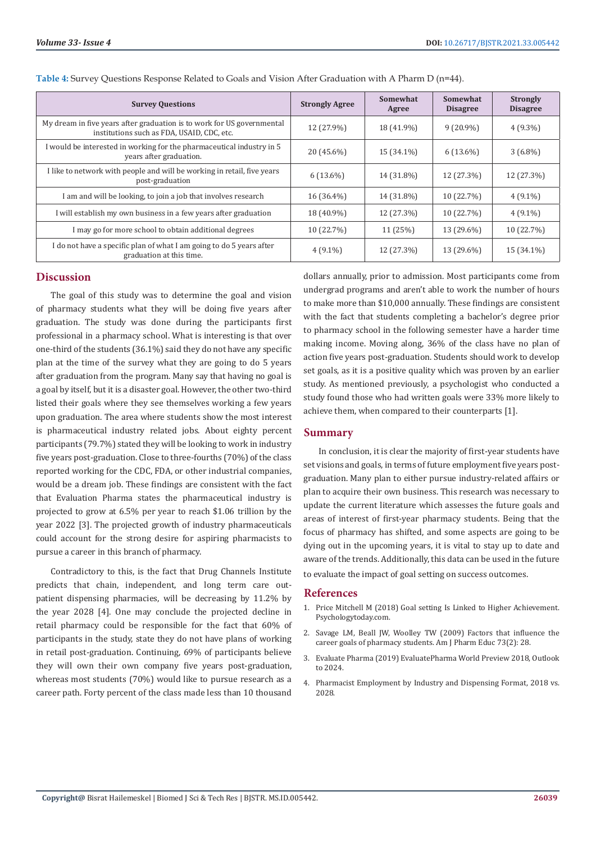| <b>Survey Questions</b>                                                                                              | <b>Strongly Agree</b> | <b>Somewhat</b><br>Agree | Somewhat<br><b>Disagree</b> | <b>Strongly</b><br><b>Disagree</b> |
|----------------------------------------------------------------------------------------------------------------------|-----------------------|--------------------------|-----------------------------|------------------------------------|
| My dream in five years after graduation is to work for US governmental<br>institutions such as FDA, USAID, CDC, etc. | 12 (27.9%)            | 18 (41.9%)               | $9(20.9\%)$                 | $4(9.3\%)$                         |
| I would be interested in working for the pharmaceutical industry in 5<br>years after graduation.                     | 20 (45.6%)            | 15 (34.1%)               | $6(13.6\%)$                 | $3(6.8\%)$                         |
| I like to network with people and will be working in retail, five years<br>post-graduation                           | $6(13.6\%)$           | 14 (31.8%)               | 12 (27.3%)                  | 12 (27.3%)                         |
| I am and will be looking, to join a job that involves research                                                       | 16 (36.4%)            | 14 (31.8%)               | 10 (22.7%)                  | $4(9.1\%)$                         |
| I will establish my own business in a few years after graduation                                                     | 18 (40.9%)            | 12 (27.3%)               | 10 (22.7%)                  | $4(9.1\%)$                         |
| I may go for more school to obtain additional degrees                                                                | 10 (22.7%)            | 11 (25%)                 | 13 (29.6%)                  | 10 (22.7%)                         |
| I do not have a specific plan of what I am going to do 5 years after<br>graduation at this time.                     | $4(9.1\%)$            | 12 (27.3%)               | 13 (29.6%)                  | 15 (34.1%)                         |

| Table 4: Survey Questions Response Related to Goals and Vision After Graduation with A Pharm D (n=44). |
|--------------------------------------------------------------------------------------------------------|
|--------------------------------------------------------------------------------------------------------|

#### **Discussion**

The goal of this study was to determine the goal and vision of pharmacy students what they will be doing five years after graduation. The study was done during the participants first professional in a pharmacy school. What is interesting is that over one-third of the students (36.1%) said they do not have any specific plan at the time of the survey what they are going to do 5 years after graduation from the program. Many say that having no goal is a goal by itself, but it is a disaster goal. However, the other two-third listed their goals where they see themselves working a few years upon graduation. The area where students show the most interest is pharmaceutical industry related jobs. About eighty percent participants (79.7%) stated they will be looking to work in industry five years post-graduation. Close to three-fourths (70%) of the class reported working for the CDC, FDA, or other industrial companies, would be a dream job. These findings are consistent with the fact that Evaluation Pharma states the pharmaceutical industry is projected to grow at 6.5% per year to reach \$1.06 trillion by the year 2022 [3]. The projected growth of industry pharmaceuticals could account for the strong desire for aspiring pharmacists to pursue a career in this branch of pharmacy.

Contradictory to this, is the fact that Drug Channels Institute predicts that chain, independent, and long term care outpatient dispensing pharmacies, will be decreasing by 11.2% by the year 2028 [4]. One may conclude the projected decline in retail pharmacy could be responsible for the fact that 60% of participants in the study, state they do not have plans of working in retail post-graduation. Continuing, 69% of participants believe they will own their own company five years post-graduation, whereas most students (70%) would like to pursue research as a career path. Forty percent of the class made less than 10 thousand

dollars annually, prior to admission. Most participants come from undergrad programs and aren't able to work the number of hours to make more than \$10,000 annually. These findings are consistent with the fact that students completing a bachelor's degree prior to pharmacy school in the following semester have a harder time making income. Moving along, 36% of the class have no plan of action five years post-graduation. Students should work to develop set goals, as it is a positive quality which was proven by an earlier study. As mentioned previously, a psychologist who conducted a study found those who had written goals were 33% more likely to achieve them, when compared to their counterparts [1].

#### **Summary**

In conclusion, it is clear the majority of first-year students have set visions and goals, in terms of future employment five years postgraduation. Many plan to either pursue industry-related affairs or plan to acquire their own business. This research was necessary to update the current literature which assesses the future goals and areas of interest of first-year pharmacy students. Being that the focus of pharmacy has shifted, and some aspects are going to be dying out in the upcoming years, it is vital to stay up to date and aware of the trends. Additionally, this data can be used in the future to evaluate the impact of goal setting on success outcomes.

#### **References**

- 1. [Price Mitchell M \(2018\) Goal setting Is Linked to Higher Achievement.](https://www.psychologytoday.com/us/blog/the-moment-youth/201803/goal-setting-is-linked-higher-achievement) [Psychologytoday.com.](https://www.psychologytoday.com/us/blog/the-moment-youth/201803/goal-setting-is-linked-higher-achievement)
- 2. [Savage LM, Beall JW, Woolley TW \(2009\) Factors that influence the](https://www.ncbi.nlm.nih.gov/pmc/articles/PMC2690887/) [career goals of pharmacy students. Am J Pharm Educ 73\(2\): 28.](https://www.ncbi.nlm.nih.gov/pmc/articles/PMC2690887/)
- 3. [Evaluate Pharma \(2019\) EvaluatePharma World Preview 2018, Outlook](https://www.evaluate.com/thought-leadership/pharma/evaluatepharma-world-preview-2018-outlook-2024) [to 2024.](https://www.evaluate.com/thought-leadership/pharma/evaluatepharma-world-preview-2018-outlook-2024)
- 4. Pharmacist Employment by Industry and Dispensing Format, 2018 vs. 2028.